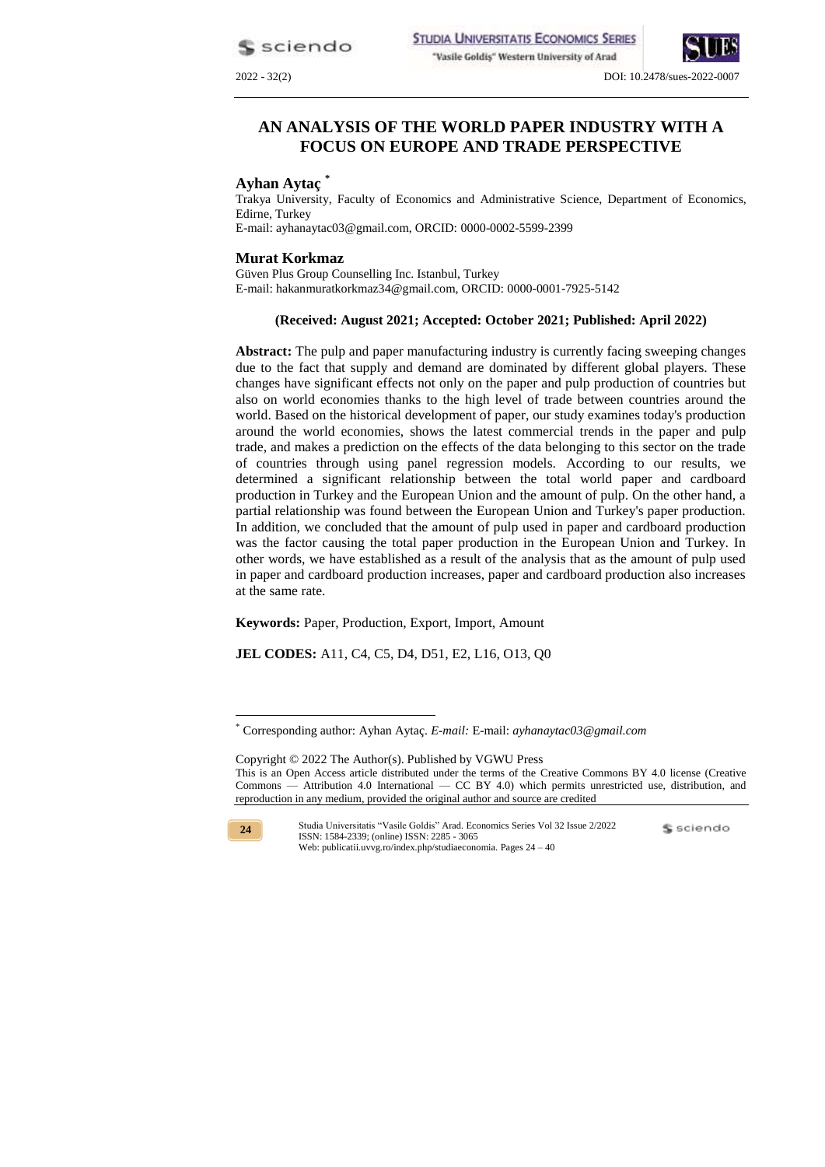sciendo



#### 2022 - 32(2) DOI: 10.2478/sues-2022-0007

# **AN ANALYSIS OF THE WORLD PAPER INDUSTRY WITH A FOCUS ON EUROPE AND TRADE PERSPECTIVE**

### **Ayhan Aytaç \***

Trakya University, Faculty of Economics and Administrative Science, Department of Economics, Edirne, Turkey E-mail: ayhanaytac03@gmail.com, ORCID: 0000-0002-5599-2399

#### **Murat Korkmaz**

Güven Plus Group Counselling Inc. Istanbul, Turkey E-mail: hakanmuratkorkmaz34@gmail.com, ORCID: 0000-0001-7925-5142

#### **(Received: August 2021; Accepted: October 2021; Published: April 2022)**

**Abstract:** The pulp and paper manufacturing industry is currently facing sweeping changes due to the fact that supply and demand are dominated by different global players. These changes have significant effects not only on the paper and pulp production of countries but also on world economies thanks to the high level of trade between countries around the world. Based on the historical development of paper, our study examines today's production around the world economies, shows the latest commercial trends in the paper and pulp trade, and makes a prediction on the effects of the data belonging to this sector on the trade of countries through using panel regression models. According to our results, we determined a significant relationship between the total world paper and cardboard production in Turkey and the European Union and the amount of pulp. On the other hand, a partial relationship was found between the European Union and Turkey's paper production. In addition, we concluded that the amount of pulp used in paper and cardboard production was the factor causing the total paper production in the European Union and Turkey. In other words, we have established as a result of the analysis that as the amount of pulp used in paper and cardboard production increases, paper and cardboard production also increases at the same rate.

**Keywords:** Paper, Production, Export, Import, Amount

**JEL CODES:** A11, C4, C5, D4, D51, E2, L16, O13, Q0

Copyright © 2022 The Author(s). Published by VGWU Press This is an Open Access article distributed under the terms of the Creative Commons BY 4.0 license [\(Creative](https://creativecommons.org/licenses/by/4.0/)  Commons — [Attribution 4.0 International —](https://creativecommons.org/licenses/by/4.0/) CC BY 4.0) which permits unrestricted use, distribution, and reproduction in any medium, provided the original author and source are credited



<u>.</u>

<sup>\*</sup> Corresponding author: Ayhan Aytaç. *E-mail:* E-mail: *ayhanaytac03@gmail.com*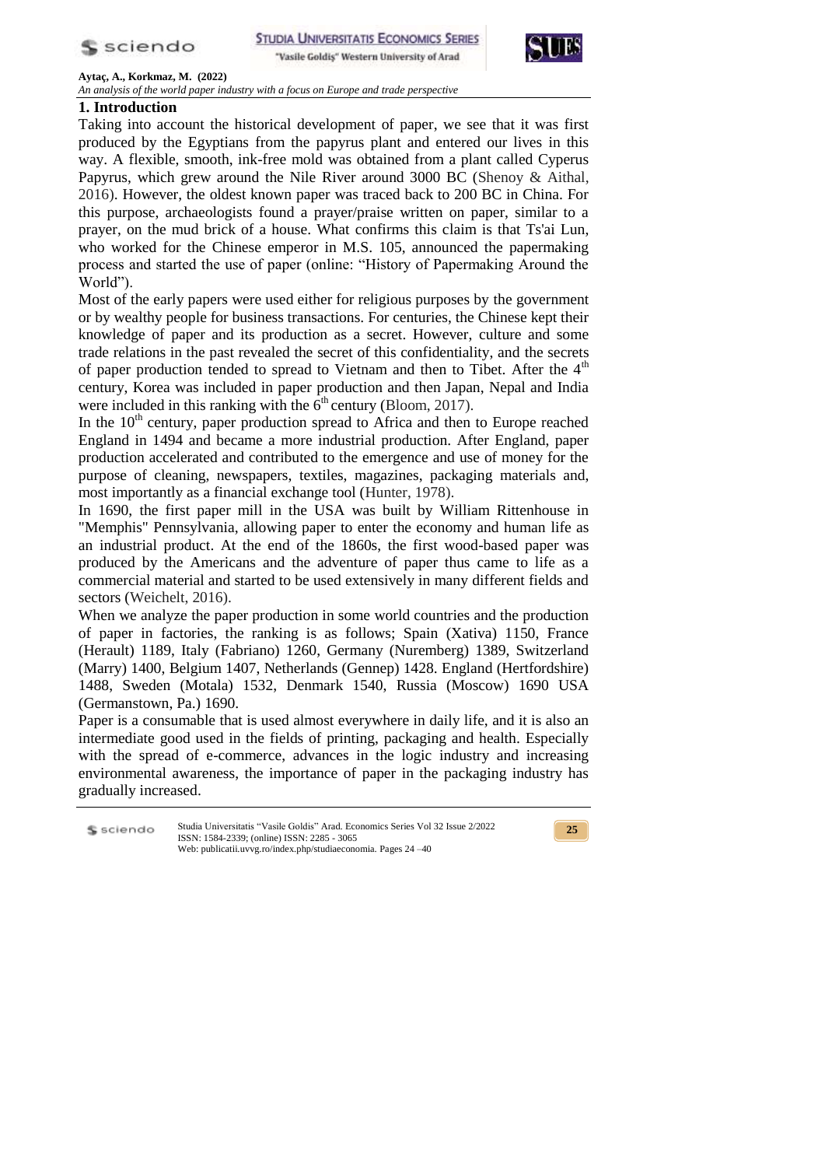

**STUDIA UNIVERSITATIS ECONOMICS SERIES** "Vasile Goldis" Western University of Arad



**Aytaç, A., Korkmaz, M. (2022)**

*An analysis of the world paper industry with a focus on Europe and trade perspective*

# **1. Introduction**

Ś

Taking into account the historical development of paper, we see that it was first produced by the Egyptians from the papyrus plant and entered our lives in this way. A flexible, smooth, ink-free mold was obtained from a plant called Cyperus Papyrus, which grew around the Nile River around 3000 BC (Shenoy & Aithal, 2016). However, the oldest known paper was traced back to 200 BC in China. For this purpose, archaeologists found a prayer/praise written on paper, similar to a prayer, on the mud brick of a house. What confirms this claim is that Ts'ai Lun, who worked for the Chinese emperor in M.S. 105, announced the papermaking process and started the use of paper (online: "History of Papermaking Around the World").

Most of the early papers were used either for religious purposes by the government or by wealthy people for business transactions. For centuries, the Chinese kept their knowledge of paper and its production as a secret. However, culture and some trade relations in the past revealed the secret of this confidentiality, and the secrets of paper production tended to spread to Vietnam and then to Tibet. After the 4<sup>th</sup> century, Korea was included in paper production and then Japan, Nepal and India were included in this ranking with the  $6<sup>th</sup>$  century (Bloom, 2017).

In the  $10<sup>th</sup>$  century, paper production spread to Africa and then to Europe reached England in 1494 and became a more industrial production. After England, paper production accelerated and contributed to the emergence and use of money for the purpose of cleaning, newspapers, textiles, magazines, packaging materials and, most importantly as a financial exchange tool (Hunter, 1978).

In 1690, the first paper mill in the USA was built by William Rittenhouse in "Memphis" Pennsylvania, allowing paper to enter the economy and human life as an industrial product. At the end of the 1860s, the first wood-based paper was produced by the Americans and the adventure of paper thus came to life as a commercial material and started to be used extensively in many different fields and sectors (Weichelt, 2016).

When we analyze the paper production in some world countries and the production of paper in factories, the ranking is as follows; Spain (Xativa) 1150, France (Herault) 1189, Italy (Fabriano) 1260, Germany (Nuremberg) 1389, Switzerland (Marry) 1400, Belgium 1407, Netherlands (Gennep) 1428. England (Hertfordshire) 1488, Sweden (Motala) 1532, Denmark 1540, Russia (Moscow) 1690 USA (Germanstown, Pa.) 1690.

Paper is a consumable that is used almost everywhere in daily life, and it is also an intermediate good used in the fields of printing, packaging and health. Especially with the spread of e-commerce, advances in the logic industry and increasing environmental awareness, the importance of paper in the packaging industry has gradually increased.

| sciendo | Studia Universitatis "Vasile Goldis" Arad. Economics Series Vol 32 Issue 2/2022<br>ISSN: 1584-2339; (online) ISSN: 2285 - 3065 |
|---------|--------------------------------------------------------------------------------------------------------------------------------|
|         | Web: publicatii.uvvg.ro/index.php/studiaeconomia. Pages 24 –40                                                                 |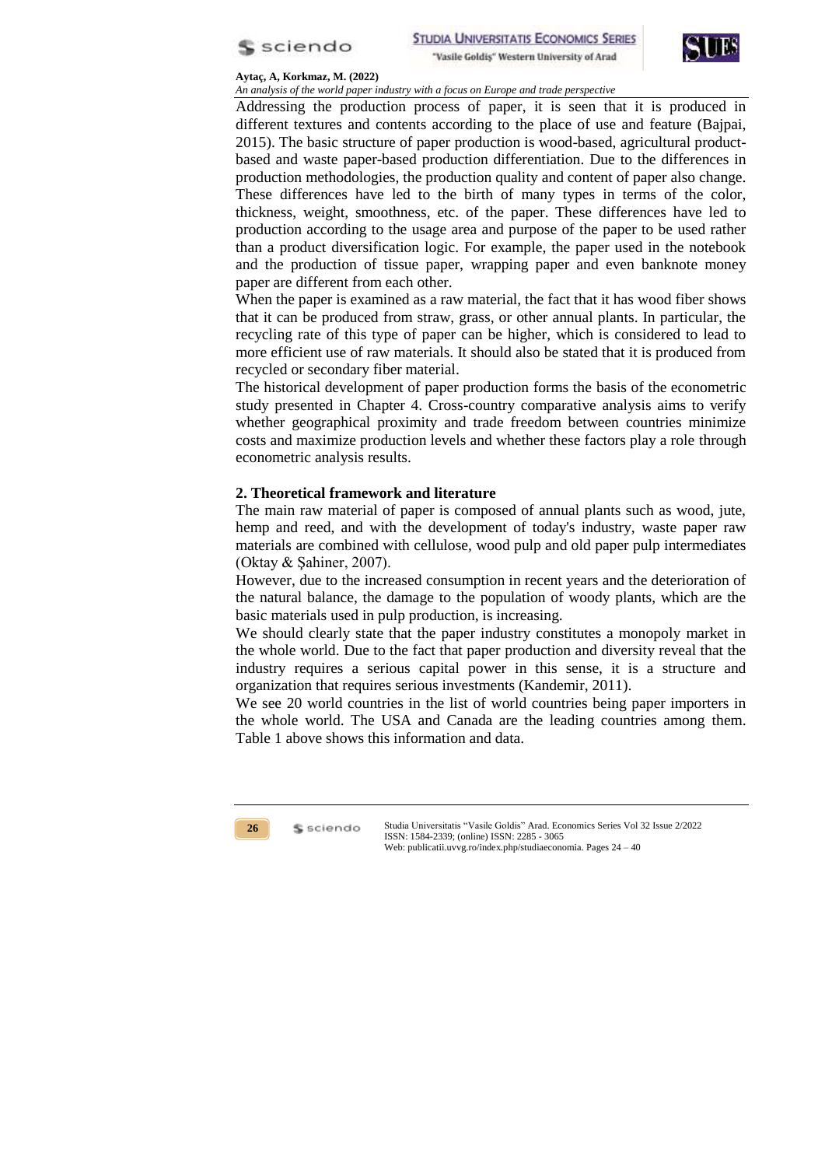



*An analysis of the world paper industry with a focus on Europe and trade perspective*

Addressing the production process of paper, it is seen that it is produced in different textures and contents according to the place of use and feature (Bajpai, 2015). The basic structure of paper production is wood-based, agricultural productbased and waste paper-based production differentiation. Due to the differences in production methodologies, the production quality and content of paper also change. These differences have led to the birth of many types in terms of the color, thickness, weight, smoothness, etc. of the paper. These differences have led to production according to the usage area and purpose of the paper to be used rather than a product diversification logic. For example, the paper used in the notebook and the production of tissue paper, wrapping paper and even banknote money paper are different from each other.

When the paper is examined as a raw material, the fact that it has wood fiber shows that it can be produced from straw, grass, or other annual plants. In particular, the recycling rate of this type of paper can be higher, which is considered to lead to more efficient use of raw materials. It should also be stated that it is produced from recycled or secondary fiber material.

The historical development of paper production forms the basis of the econometric study presented in Chapter 4. Cross-country comparative analysis aims to verify whether geographical proximity and trade freedom between countries minimize costs and maximize production levels and whether these factors play a role through econometric analysis results.

## **2. Theoretical framework and literature**

The main raw material of paper is composed of annual plants such as wood, jute, hemp and reed, and with the development of today's industry, waste paper raw materials are combined with cellulose, wood pulp and old paper pulp intermediates (Oktay & Şahiner, 2007).

However, due to the increased consumption in recent years and the deterioration of the natural balance, the damage to the population of woody plants, which are the basic materials used in pulp production, is increasing.

We should clearly state that the paper industry constitutes a monopoly market in the whole world. Due to the fact that paper production and diversity reveal that the industry requires a serious capital power in this sense, it is a structure and organization that requires serious investments (Kandemir, 2011).

We see 20 world countries in the list of world countries being paper importers in the whole world. The USA and Canada are the leading countries among them. Table 1 above shows this information and data.

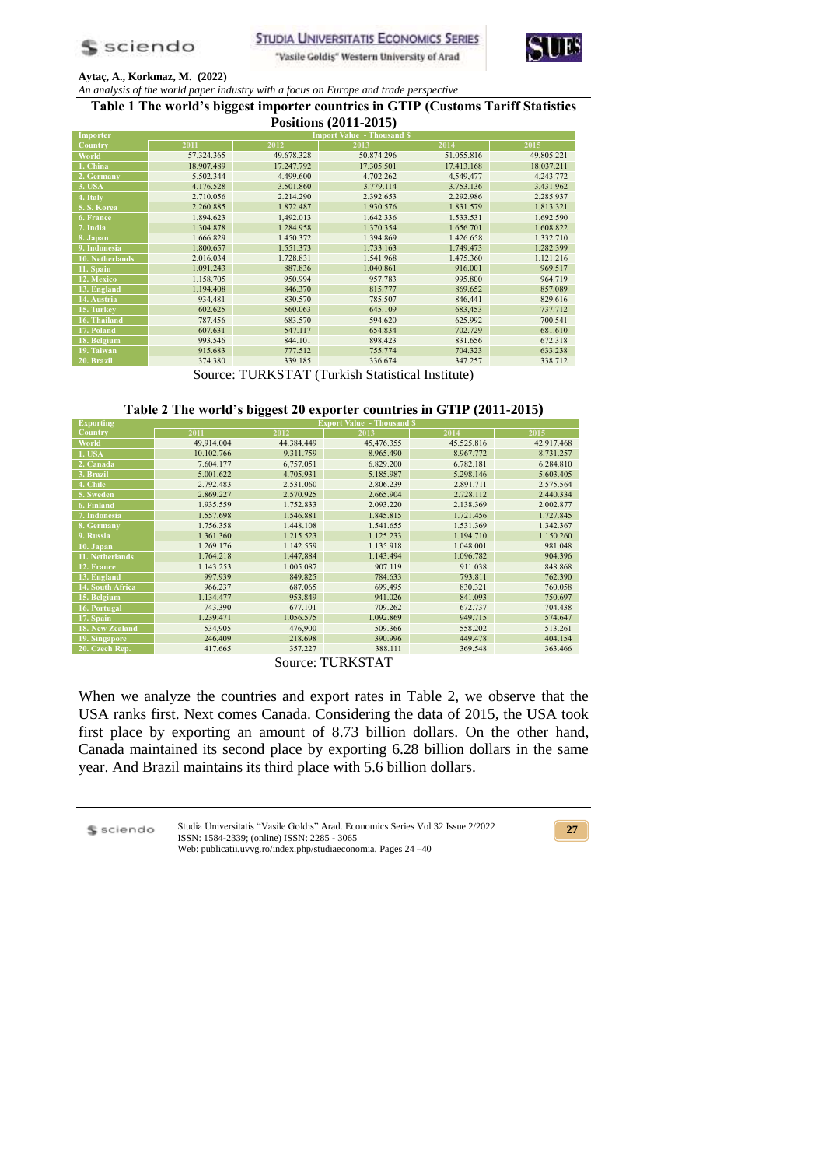

"Vasile Goldiş" Western University of Arad



### **Aytaç, A., Korkmaz, M. (2022)**

*An analysis of the world paper industry with a focus on Europe and trade perspective* **Table 1 The world's biggest importer countries in GTIP (Customs Tariff Statistics** 

| Positions (2011-2015) |            |            |                                   |            |            |  |
|-----------------------|------------|------------|-----------------------------------|------------|------------|--|
| Importer              |            |            | <b>Import Value - Thousand \$</b> |            |            |  |
| Country               | 2011       | 2012       | 2013                              | 2014       | 2015       |  |
| World                 | 57.324.365 | 49.678.328 | 50.874.296                        | 51.055.816 | 49.805.221 |  |
| 1. China              | 18.907.489 | 17.247.792 | 17.305.501                        | 17.413.168 | 18.037.211 |  |
| 2. Germany            | 5.502.344  | 4.499.600  | 4.702.262                         | 4,549,477  | 4.243.772  |  |
| 3. USA                | 4.176.528  | 3.501.860  | 3.779.114                         | 3.753.136  | 3.431.962  |  |
| 4. Italy              | 2.710.056  | 2.214.290  | 2.392.653                         | 2.292.986  | 2.285.937  |  |
| 5. S. Korea           | 2.260.885  | 1.872.487  | 1.930.576                         | 1.831.579  | 1.813.321  |  |
| 6. France             | 1.894.623  | 1,492.013  | 1.642.336                         | 1.533.531  | 1.692.590  |  |
| 7. India              | 1.304.878  | 1.284.958  | 1.370.354                         | 1.656.701  | 1.608.822  |  |
| 8. Japan              | 1.666.829  | 1.450.372  | 1.394.869                         | 1.426.658  | 1.332.710  |  |
| 9. Indonesia          | 1.800.657  | 1.551.373  | 1.733.163                         | 1.749.473  | 1.282.399  |  |
| 10. Netherlands       | 2.016.034  | 1.728.831  | 1.541.968                         | 1.475.360  | 1.121.216  |  |
| 11. Spain             | 1.091.243  | 887.836    | 1.040.861                         | 916.001    | 969.517    |  |
| 12. Mexico            | 1.158.705  | 950.994    | 957.783                           | 995.800    | 964.719    |  |
| 13. England           | 1.194.408  | 846.370    | 815.777                           | 869.652    | 857.089    |  |
| 14. Austria           | 934,481    | 830.570    | 785.507                           | 846,441    | 829.616    |  |
| 15. Turkey            | 602.625    | 560.063    | 645.109                           | 683,453    | 737.712    |  |
| 16. Thailand          | 787.456    | 683.570    | 594.620                           | 625.992    | 700.541    |  |
| 17. Poland            | 607.631    | 547.117    | 654.834                           | 702.729    | 681.610    |  |
| 18. Belgium           | 993.546    | 844.101    | 898,423                           | 831.656    | 672.318    |  |
| 19. Taiwan            | 915.683    | 777.512    | 755.774                           | 704.323    | 633.238    |  |
| 20. Brazil            | 374.380    | 339.185    | 336.674                           | 347.257    | 338.712    |  |

Source: TURKSTAT (Turkish Statistical Institute)

## **Table 2 The world's biggest 20 exporter countries in GTIP (2011-2015)**

| <b>Exporting</b> | <b>Export Value - Thousand \$</b> |            |            |            |            |  |  |
|------------------|-----------------------------------|------------|------------|------------|------------|--|--|
| Country          | 2011                              | 2012       | 2013       | 2014       | 2015       |  |  |
| World            | 49,914,004                        | 44.384.449 | 45,476.355 | 45.525.816 | 42.917.468 |  |  |
| <b>1. USA</b>    | 10.102.766                        | 9.311.759  | 8.965.490  | 8.967.772  | 8.731.257  |  |  |
| 2. Canada        | 7.604.177                         | 6,757.051  | 6.829.200  | 6.782.181  | 6.284.810  |  |  |
| 3. Brazil        | 5.001.622                         | 4.705.931  | 5.185.987  | 5.298.146  | 5.603.405  |  |  |
| 4. Chile         | 2.792.483                         | 2.531.060  | 2.806.239  | 2.891.711  | 2.575.564  |  |  |
| 5. Sweden        | 2.869.227                         | 2.570.925  | 2.665.904  | 2.728.112  | 2.440.334  |  |  |
| 6. Finland       | 1.935.559                         | 1.752.833  | 2.093.220  | 2.138.369  | 2.002.877  |  |  |
| 7. Indonesia     | 1.557.698                         | 1.546.881  | 1.845.815  | 1.721.456  | 1.727.845  |  |  |
| 8. Germany       | 1.756.358                         | 1.448.108  | 1.541.655  | 1.531.369  | 1.342.367  |  |  |
| 9. Russia        | 1.361.360                         | 1.215.523  | 1.125.233  | 1.194.710  | 1.150.260  |  |  |
| $10.$ Japan      | 1.269.176                         | 1.142.559  | 1.135.918  | 1.048.001  | 981.048    |  |  |
| 11. Netherlands  | 1.764.218                         | 1,447,884  | 1.143.494  | 1.096.782  | 904.396    |  |  |
| 12. France       | 1.143.253                         | 1.005.087  | 907.119    | 911.038    | 848.868    |  |  |
| 13. England      | 997.939                           | 849.825    | 784.633    | 793.811    | 762.390    |  |  |
| 14. South Africa | 966.237                           | 687.065    | 699,495    | 830.321    | 760.058    |  |  |
| 15. Belgium      | 1.134.477                         | 953.849    | 941.026    | 841.093    | 750.697    |  |  |
| 16. Portugal     | 743.390                           | 677.101    | 709.262    | 672.737    | 704.438    |  |  |
| 17. Spain        | 1.239.471                         | 1.056.575  | 1.092.869  | 949.715    | 574.647    |  |  |
| 18. New Zealand  | 534,905                           | 476,900    | 509.366    | 558.202    | 513.261    |  |  |
| 19. Singapore    | 246,409                           | 218.698    | 390.996    | 449.478    | 404.154    |  |  |
| 20. Czech Rep.   | 417.665                           | 357.227    | 388.111    | 369.548    | 363.466    |  |  |

Source: TURKSTAT

When we analyze the countries and export rates in Table 2, we observe that the USA ranks first. Next comes Canada. Considering the data of 2015, the USA took first place by exporting an amount of 8.73 billion dollars. On the other hand, Canada maintained its second place by exporting 6.28 billion dollars in the same year. And Brazil maintains its third place with 5.6 billion dollars.

\$ sciendo

Studia Universitatis "Vasile Goldis" Arad. Economics Series Vol 32 Issue 2/2022 ISSN: 1584-2339; (online) ISSN: 2285 - 3065 Web: publicatii.uvvg.ro/index.php/studiaeconomia. Pages 24 –40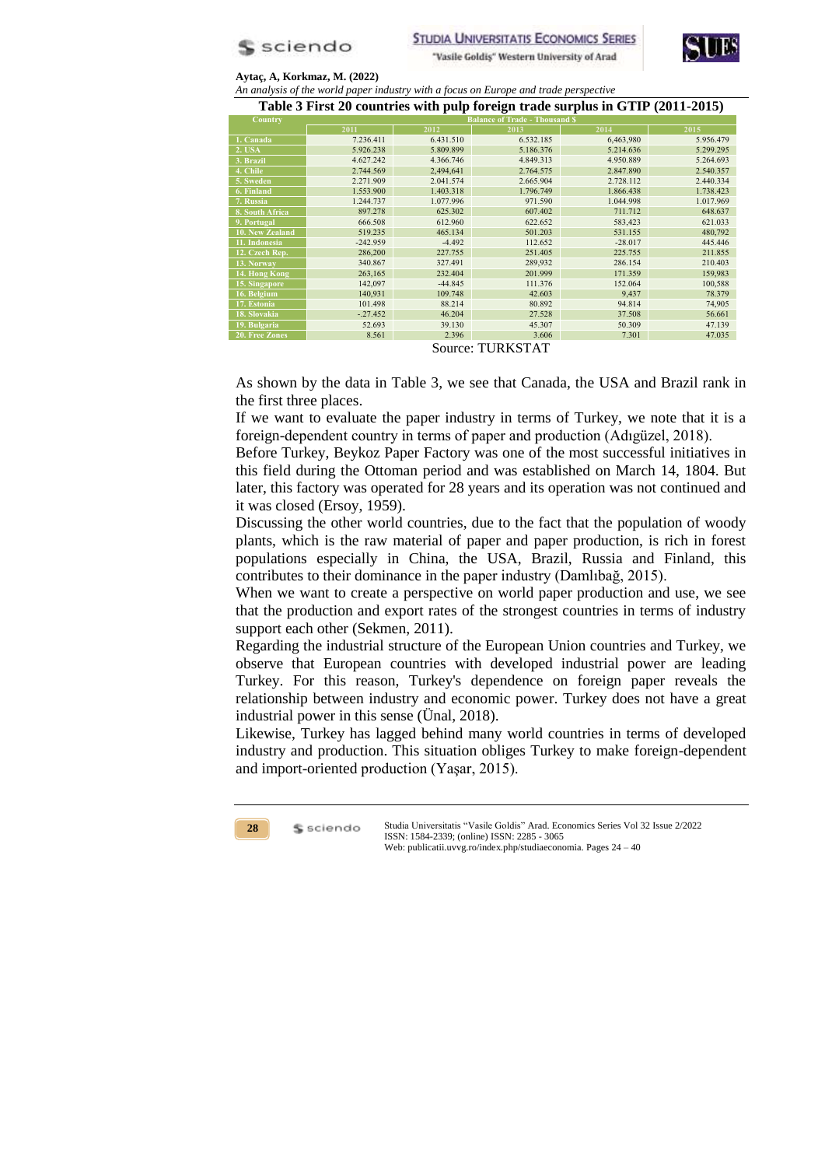



*An analysis of the world paper industry with a focus on Europe and trade perspective*

**Table 3 First 20 countries with pulp foreign trade surplus in GTIP (2011-2015)**

| Country         |            |           | <b>Balance of Trade - Thousand \$</b> |           |           |  |
|-----------------|------------|-----------|---------------------------------------|-----------|-----------|--|
|                 | 2011       | 2012      | 2013                                  | 2014      | 2015      |  |
| 1. Canada       | 7.236.411  | 6.431.510 | 6.532.185                             | 6,463,980 | 5.956.479 |  |
| <b>2. USA</b>   | 5.926.238  | 5.809.899 | 5.186.376                             | 5.214.636 | 5.299.295 |  |
| 3. Brazil       | 4.627.242  | 4.366.746 | 4.849.313                             | 4.950.889 | 5.264.693 |  |
| 4. Chile        | 2.744.569  | 2,494,641 | 2.764.575                             | 2.847.890 | 2.540.357 |  |
| 5. Sweden       | 2.271.909  | 2.041.574 | 2.665.904                             | 2.728.112 | 2.440.334 |  |
| 6. Finland      | 1.553.900  | 1.403.318 | 1.796.749                             | 1.866.438 | 1.738.423 |  |
| 7. Russia       | 1.244.737  | 1.077.996 | 971.590                               | 1.044.998 | 1.017.969 |  |
| 8. South Africa | 897.278    | 625.302   | 607.402                               | 711.712   | 648.637   |  |
| 9. Portugal     | 666.508    | 612.960   | 622.652                               | 583,423   | 621.033   |  |
| 10. New Zealand | 519.235    | 465.134   | 501.203                               | 531.155   | 480,792   |  |
| 11. Indonesia   | $-242.959$ | $-4.492$  | 112.652                               | $-28.017$ | 445.446   |  |
| 12. Czech Rep.  | 286,200    | 227,755   | 251.405                               | 225.755   | 211.855   |  |
| 13. Norway      | 340.867    | 327.491   | 289,932                               | 286.154   | 210.403   |  |
| 14. Hong Kong   | 263,165    | 232.404   | 201.999                               | 171.359   | 159,983   |  |
| 15. Singapore   | 142,097    | $-44.845$ | 111.376                               | 152.064   | 100,588   |  |
| 16. Belgium     | 140,931    | 109.748   | 42.603                                | 9,437     | 78.379    |  |
| 17. Estonia     | 101.498    | 88.214    | 80.892                                | 94.814    | 74,905    |  |
| 18. Slovakia    | $-.27.452$ | 46.204    | 27.528                                | 37.508    | 56.661    |  |
| 19. Bulgaria    | 52.693     | 39.130    | 45.307                                | 50.309    | 47.139    |  |
| 20. Free Zones  | 8.561      | 2.396     | 3.606                                 | 7.301     | 47.035    |  |

Source: TURKSTAT

As shown by the data in Table 3, we see that Canada, the USA and Brazil rank in the first three places.

If we want to evaluate the paper industry in terms of Turkey, we note that it is a foreign-dependent country in terms of paper and production (Adıgüzel, 2018).

Before Turkey, Beykoz Paper Factory was one of the most successful initiatives in this field during the Ottoman period and was established on March 14, 1804. But later, this factory was operated for 28 years and its operation was not continued and it was closed (Ersoy, 1959).

Discussing the other world countries, due to the fact that the population of woody plants, which is the raw material of paper and paper production, is rich in forest populations especially in China, the USA, Brazil, Russia and Finland, this contributes to their dominance in the paper industry (Damlıbağ, 2015).

When we want to create a perspective on world paper production and use, we see that the production and export rates of the strongest countries in terms of industry support each other (Sekmen, 2011).

Regarding the industrial structure of the European Union countries and Turkey, we observe that European countries with developed industrial power are leading Turkey. For this reason, Turkey's dependence on foreign paper reveals the relationship between industry and economic power. Turkey does not have a great industrial power in this sense (Ünal, 2018).

Likewise, Turkey has lagged behind many world countries in terms of developed industry and production. This situation obliges Turkey to make foreign-dependent and import-oriented production (Yaşar, 2015).

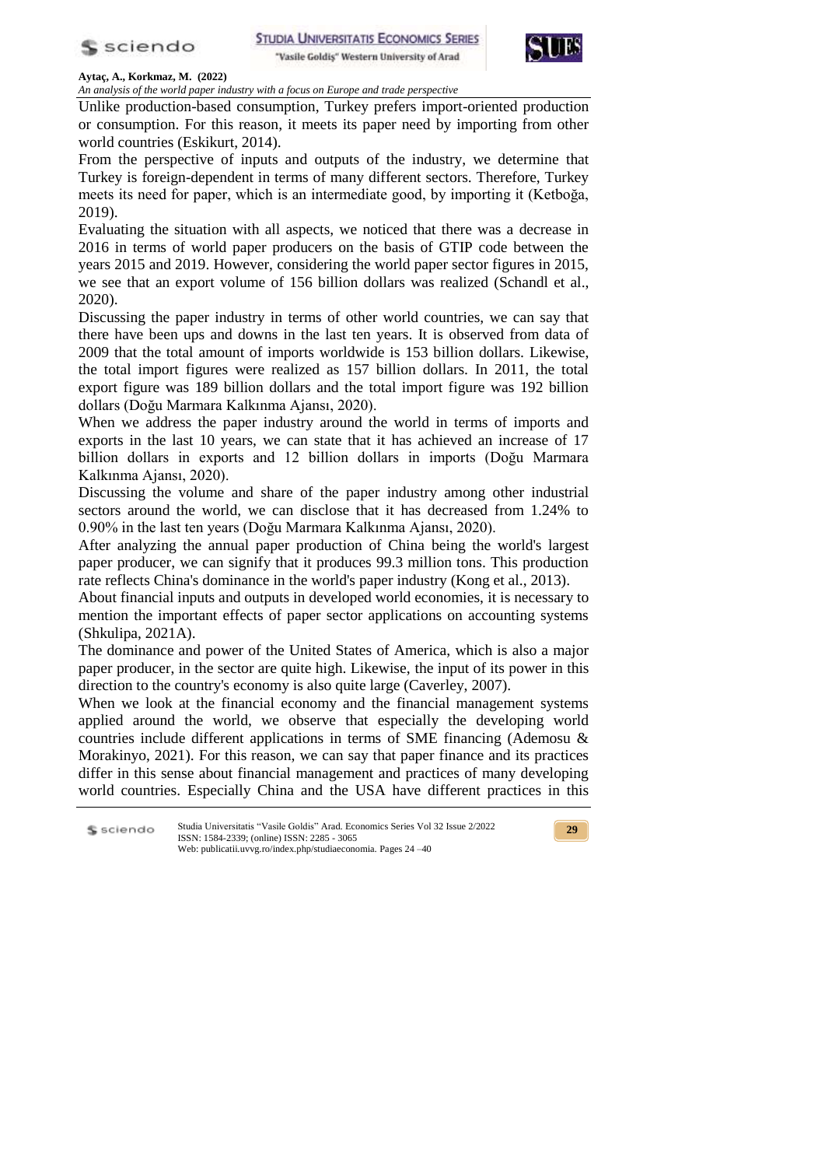





*An analysis of the world paper industry with a focus on Europe and trade perspective*

Unlike production-based consumption, Turkey prefers import-oriented production or consumption. For this reason, it meets its paper need by importing from other world countries (Eskikurt, 2014).

From the perspective of inputs and outputs of the industry, we determine that Turkey is foreign-dependent in terms of many different sectors. Therefore, Turkey meets its need for paper, which is an intermediate good, by importing it (Ketboğa, 2019).

Evaluating the situation with all aspects, we noticed that there was a decrease in 2016 in terms of world paper producers on the basis of GTIP code between the years 2015 and 2019. However, considering the world paper sector figures in 2015, we see that an export volume of 156 billion dollars was realized (Schandl et al., 2020).

Discussing the paper industry in terms of other world countries, we can say that there have been ups and downs in the last ten years. It is observed from data of 2009 that the total amount of imports worldwide is 153 billion dollars. Likewise, the total import figures were realized as 157 billion dollars. In 2011, the total export figure was 189 billion dollars and the total import figure was 192 billion dollars (Doğu Marmara Kalkınma Ajansı, 2020).

When we address the paper industry around the world in terms of imports and exports in the last 10 years, we can state that it has achieved an increase of 17 billion dollars in exports and 12 billion dollars in imports (Doğu Marmara Kalkınma Ajansı, 2020).

Discussing the volume and share of the paper industry among other industrial sectors around the world, we can disclose that it has decreased from 1.24% to 0.90% in the last ten years (Doğu Marmara Kalkınma Ajansı, 2020).

After analyzing the annual paper production of China being the world's largest paper producer, we can signify that it produces 99.3 million tons. This production rate reflects China's dominance in the world's paper industry (Kong et al., 2013).

About financial inputs and outputs in developed world economies, it is necessary to mention the important effects of paper sector applications on accounting systems (Shkulipa, 2021A).

The dominance and power of the United States of America, which is also a major paper producer, in the sector are quite high. Likewise, the input of its power in this direction to the country's economy is also quite large (Caverley, 2007).

When we look at the financial economy and the financial management systems applied around the world, we observe that especially the developing world countries include different applications in terms of SME financing (Ademosu & Morakinyo, 2021). For this reason, we can say that paper finance and its practices differ in this sense about financial management and practices of many developing world countries. Especially China and the USA have different practices in this

Studia Universitatis "Vasile Goldis" Arad. Economics Series Vol 32 Issue 2/2022 S sciendo ISSN: 1584-2339; (online) ISSN: 2285 - 3065 Web: publicatii.uvvg.ro/index.php/studiaeconomia. Pages 24 –40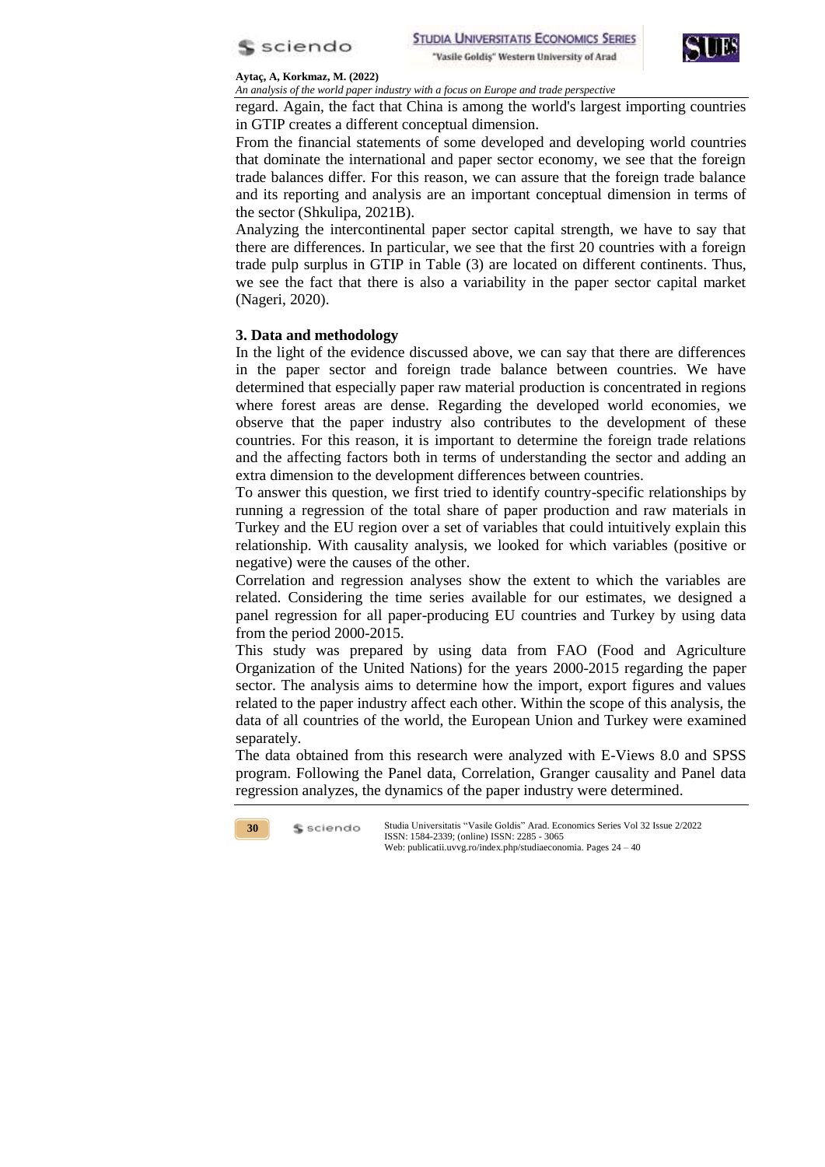



*An analysis of the world paper industry with a focus on Europe and trade perspective*

regard. Again, the fact that China is among the world's largest importing countries in GTIP creates a different conceptual dimension.

From the financial statements of some developed and developing world countries that dominate the international and paper sector economy, we see that the foreign trade balances differ. For this reason, we can assure that the foreign trade balance and its reporting and analysis are an important conceptual dimension in terms of the sector (Shkulipa, 2021B).

Analyzing the intercontinental paper sector capital strength, we have to say that there are differences. In particular, we see that the first 20 countries with a foreign trade pulp surplus in GTIP in Table (3) are located on different continents. Thus, we see the fact that there is also a variability in the paper sector capital market (Nageri, 2020).

## **3. Data and methodology**

In the light of the evidence discussed above, we can say that there are differences in the paper sector and foreign trade balance between countries. We have determined that especially paper raw material production is concentrated in regions where forest areas are dense. Regarding the developed world economies, we observe that the paper industry also contributes to the development of these countries. For this reason, it is important to determine the foreign trade relations and the affecting factors both in terms of understanding the sector and adding an extra dimension to the development differences between countries.

To answer this question, we first tried to identify country-specific relationships by running a regression of the total share of paper production and raw materials in Turkey and the EU region over a set of variables that could intuitively explain this relationship. With causality analysis, we looked for which variables (positive or negative) were the causes of the other.

Correlation and regression analyses show the extent to which the variables are related. Considering the time series available for our estimates, we designed a panel regression for all paper-producing EU countries and Turkey by using data from the period 2000-2015.

This study was prepared by using data from FAO (Food and Agriculture Organization of the United Nations) for the years 2000-2015 regarding the paper sector. The analysis aims to determine how the import, export figures and values related to the paper industry affect each other. Within the scope of this analysis, the data of all countries of the world, the European Union and Turkey were examined separately.

The data obtained from this research were analyzed with E-Views 8.0 and SPSS program. Following the Panel data, Correlation, Granger causality and Panel data regression analyzes, the dynamics of the paper industry were determined.

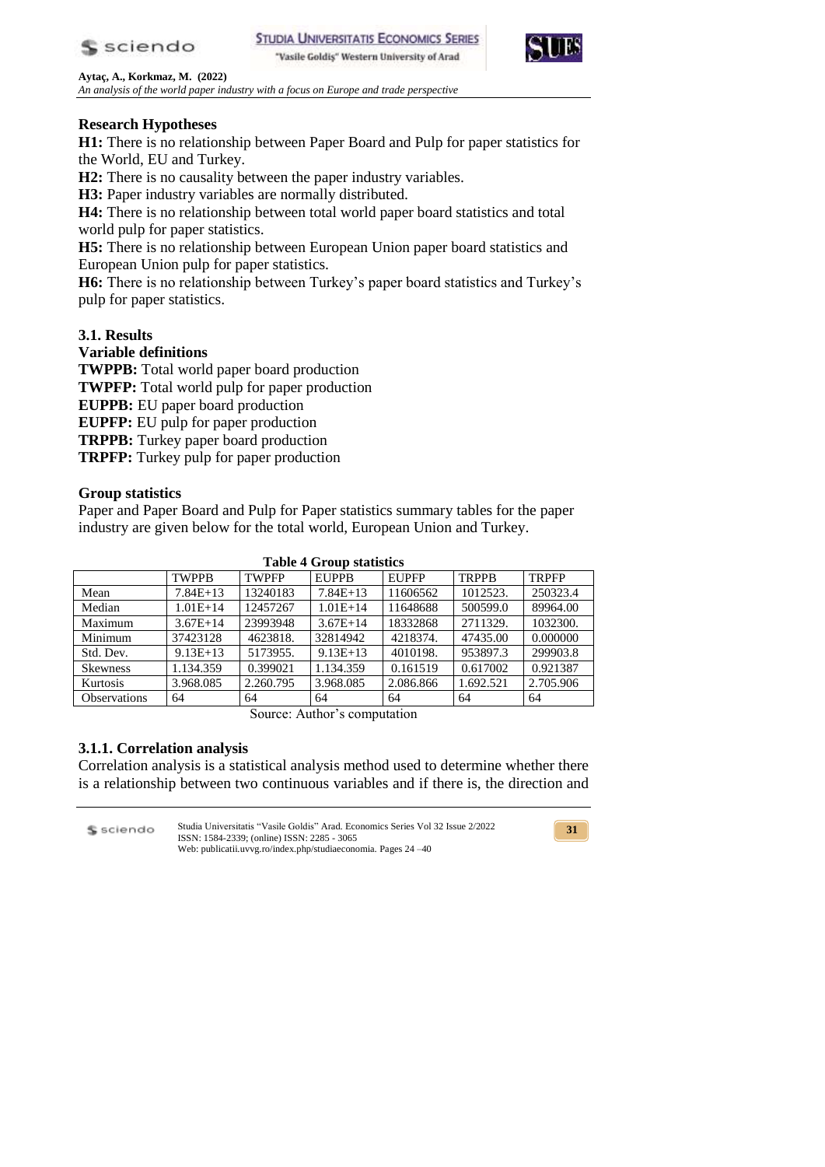

**STUDIA UNIVERSITATIS ECONOMICS SERIES** "Vasile Goldiş" Western University of Arad



**Aytaç, A., Korkmaz, M. (2022)** *An analysis of the world paper industry with a focus on Europe and trade perspective*

# **Research Hypotheses**

**H1:** There is no relationship between Paper Board and Pulp for paper statistics for the World, EU and Turkey.

**H2:** There is no causality between the paper industry variables.

**H3:** Paper industry variables are normally distributed.

**H4:** There is no relationship between total world paper board statistics and total world pulp for paper statistics.

**H5:** There is no relationship between European Union paper board statistics and European Union pulp for paper statistics.

**H6:** There is no relationship between Turkey's paper board statistics and Turkey's pulp for paper statistics.

# **3.1. Results**

## **Variable definitions**

**TWPPB:** Total world paper board production **TWPFP:** Total world pulp for paper production **EUPPB:** EU paper board production **EUPFP:** EU pulp for paper production **TRPPB:** Turkey paper board production **TRPFP:** Turkey pulp for paper production

## **Group statistics**

Paper and Paper Board and Pulp for Paper statistics summary tables for the paper industry are given below for the total world, European Union and Turkey.

|                     | Table 4 Group statistics |              |              |              |              |              |  |  |
|---------------------|--------------------------|--------------|--------------|--------------|--------------|--------------|--|--|
|                     | <b>TWPPB</b>             | <b>TWPFP</b> | <b>EUPPB</b> | <b>EUPFP</b> | <b>TRPPB</b> | <b>TRPFP</b> |  |  |
| Mean                | $7.84E+13$               | 13240183     | $7.84E+13$   | 11606562     | 1012523.     | 250323.4     |  |  |
| Median              | $1.01E+14$               | 12457267     | $1.01E+14$   | 11648688     | 500599.0     | 89964.00     |  |  |
| Maximum             | $3.67E+14$               | 23993948     | $3.67E+14$   | 18332868     | 2711329.     | 1032300.     |  |  |
| Minimum             | 37423128                 | 4623818.     | 32814942     | 4218374.     | 47435.00     | 0.000000     |  |  |
| Std. Dev.           | $9.13E+13$               | 5173955.     | $9.13E+13$   | 4010198.     | 953897.3     | 299903.8     |  |  |
| <b>Skewness</b>     | 1.134.359                | 0.399021     | 1.134.359    | 0.161519     | 0.617002     | 0.921387     |  |  |
| Kurtosis            | 3.968.085                | 2.260.795    | 3.968.085    | 2.086.866    | 1.692.521    | 2.705.906    |  |  |
| <b>Observations</b> | 64                       | 64           | 64           | 64           | 64           | 64           |  |  |

**Table 4 Group statistics**

Source: Author's computation

## **3.1.1. Correlation analysis**

Correlation analysis is a statistical analysis method used to determine whether there is a relationship between two continuous variables and if there is, the direction and

Studia Universitatis "Vasile Goldis" Arad. Economics Series Vol 32 Issue 2/2022 \$ sciendo ISSN: 1584-2339; (online) ISSN: 2285 - 3065 Web: publicatii.uvvg.ro/index.php/studiaeconomia. Pages 24 –40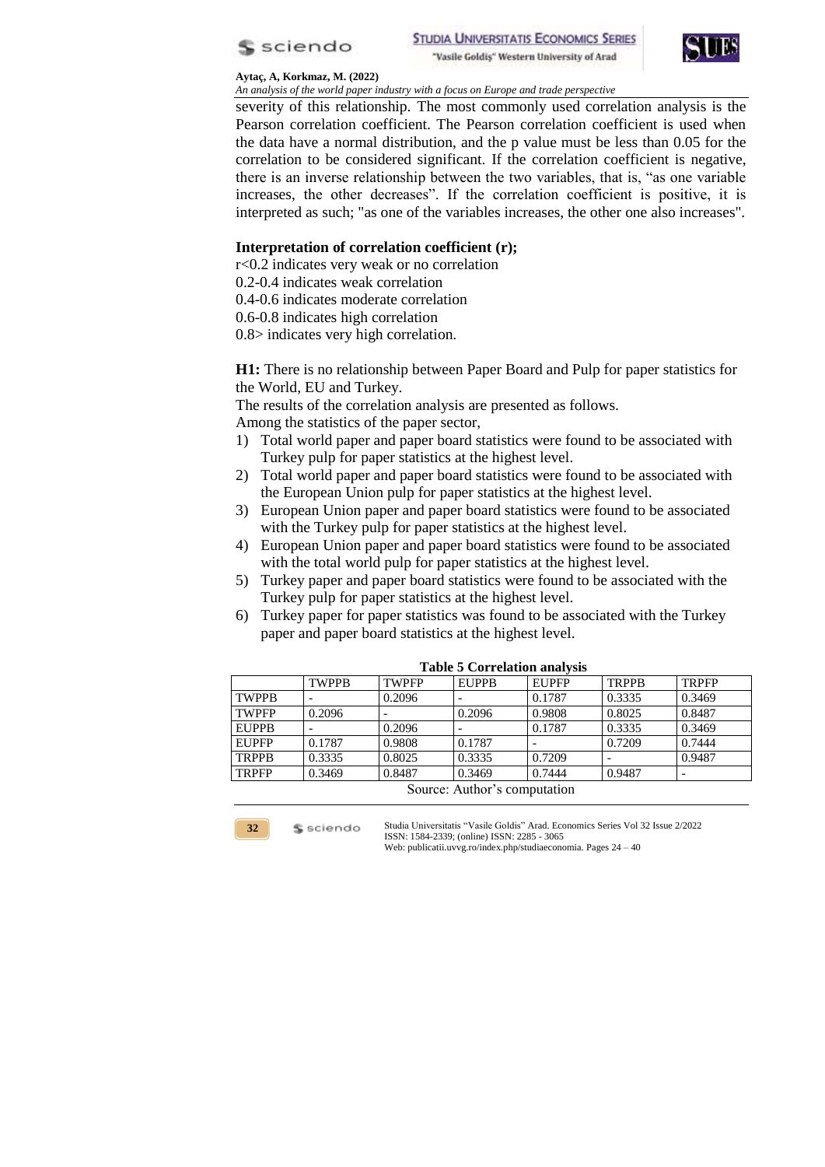



*An analysis of the world paper industry with a focus on Europe and trade perspective*

severity of this relationship. The most commonly used correlation analysis is the Pearson correlation coefficient. The Pearson correlation coefficient is used when the data have a normal distribution, and the p value must be less than 0.05 for the correlation to be considered significant. If the correlation coefficient is negative, there is an inverse relationship between the two variables, that is, "as one variable increases, the other decreases". If the correlation coefficient is positive, it is interpreted as such; "as one of the variables increases, the other one also increases".

### **Interpretation of correlation coefficient (r);**

r<0.2 indicates very weak or no correlation

0.2-0.4 indicates weak correlation

0.4-0.6 indicates moderate correlation

0.6-0.8 indicates high correlation

0.8> indicates very high correlation.

**H1:** There is no relationship between Paper Board and Pulp for paper statistics for the World, EU and Turkey.

The results of the correlation analysis are presented as follows.

Among the statistics of the paper sector,

- 1) Total world paper and paper board statistics were found to be associated with Turkey pulp for paper statistics at the highest level.
- 2) Total world paper and paper board statistics were found to be associated with the European Union pulp for paper statistics at the highest level.
- 3) European Union paper and paper board statistics were found to be associated with the Turkey pulp for paper statistics at the highest level.
- 4) European Union paper and paper board statistics were found to be associated with the total world pulp for paper statistics at the highest level.
- 5) Turkey paper and paper board statistics were found to be associated with the Turkey pulp for paper statistics at the highest level.
- 6) Turkey paper for paper statistics was found to be associated with the Turkey paper and paper board statistics at the highest level.

|                              | Tuole e Correnanon amarton |              |              |              |              |              |  |
|------------------------------|----------------------------|--------------|--------------|--------------|--------------|--------------|--|
|                              | <b>TWPPB</b>               | <b>TWPFP</b> | <b>EUPPB</b> | <b>EUPFP</b> | <b>TRPPB</b> | <b>TRPFP</b> |  |
| <b>TWPPB</b>                 |                            | 0.2096       |              | 0.1787       | 0.3335       | 0.3469       |  |
| <b>TWPFP</b>                 | 0.2096                     |              | 0.2096       | 0.9808       | 0.8025       | 0.8487       |  |
| <b>EUPPB</b>                 |                            | 0.2096       |              | 0.1787       | 0.3335       | 0.3469       |  |
| <b>EUPFP</b>                 | 0.1787                     | 0.9808       | 0.1787       |              | 0.7209       | 0.7444       |  |
| <b>TRPPB</b>                 | 0.3335                     | 0.8025       | 0.3335       | 0.7209       |              | 0.9487       |  |
| <b>TRPFP</b>                 | 0.3469                     | 0.8487       | 0.3469       | 0.7444       | 0.9487       |              |  |
| Source: Author's computation |                            |              |              |              |              |              |  |

# **Table 5 Correlation analysis**



\$ sciendo

Studia Universitatis "Vasile Goldis" Arad. Economics Series Vol 32 Issue 2/2022 ISSN: 1584-2339; (online) ISSN: 2285 - 3065

Web: publicatii.uvvg.ro/index.php/studiaeconomia. Pages 24 – 40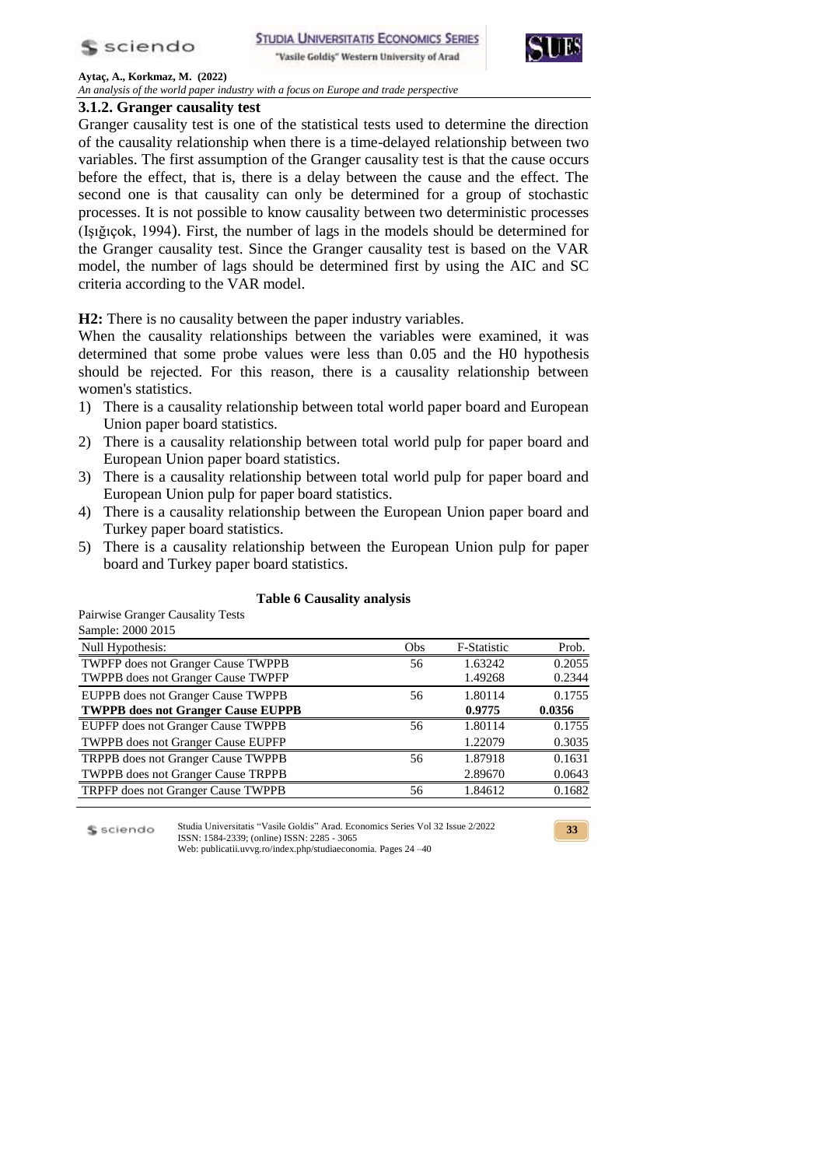

"Vasile Goldiş" Western University of Arad



**33**

**Aytaç, A., Korkmaz, M. (2022)**

*An analysis of the world paper industry with a focus on Europe and trade perspective*

## **3.1.2. Granger causality test**

Granger causality test is one of the statistical tests used to determine the direction of the causality relationship when there is a time-delayed relationship between two variables. The first assumption of the Granger causality test is that the cause occurs before the effect, that is, there is a delay between the cause and the effect. The second one is that causality can only be determined for a group of stochastic processes. It is not possible to know causality between two deterministic processes (Işığıçok, 1994). First, the number of lags in the models should be determined for the Granger causality test. Since the Granger causality test is based on the VAR model, the number of lags should be determined first by using the AIC and SC criteria according to the VAR model.

**H2:** There is no causality between the paper industry variables.

When the causality relationships between the variables were examined, it was determined that some probe values were less than 0.05 and the H0 hypothesis should be rejected. For this reason, there is a causality relationship between women's statistics.

- 1) There is a causality relationship between total world paper board and European Union paper board statistics.
- 2) There is a causality relationship between total world pulp for paper board and European Union paper board statistics.
- 3) There is a causality relationship between total world pulp for paper board and European Union pulp for paper board statistics.
- 4) There is a causality relationship between the European Union paper board and Turkey paper board statistics.
- 5) There is a causality relationship between the European Union pulp for paper board and Turkey paper board statistics.

#### **Table 6 Causality analysis**

Pairwise Granger Causality Tests Sample: 2000 2015

| $\mu$ umpre. 2000 2010                           |            |                    |        |
|--------------------------------------------------|------------|--------------------|--------|
| Null Hypothesis:                                 | <b>Obs</b> | <b>F-Statistic</b> | Prob.  |
| <b>TWPFP</b> does not Granger Cause <b>TWPPB</b> | 56         | 1.63242            | 0.2055 |
| <b>TWPPB</b> does not Granger Cause TWPFP        |            | 1.49268            | 0.2344 |
| EUPPB does not Granger Cause TWPPB               | 56         | 1.80114            | 0.1755 |
| <b>TWPPB</b> does not Granger Cause EUPPB        |            | 0.9775             | 0.0356 |
| EUPFP does not Granger Cause TWPPB               | 56         | 1.80114            | 0.1755 |
| <b>TWPPB</b> does not Granger Cause EUPFP        |            | 1.22079            | 0.3035 |
| TRPPB does not Granger Cause TWPPB               | 56         | 1.87918            | 0.1631 |
| <b>TWPPB</b> does not Granger Cause <b>TRPPB</b> |            | 2.89670            | 0.0643 |
| TRPFP does not Granger Cause TWPPB               | 56         | 1.84612            | 0.1682 |
|                                                  |            |                    |        |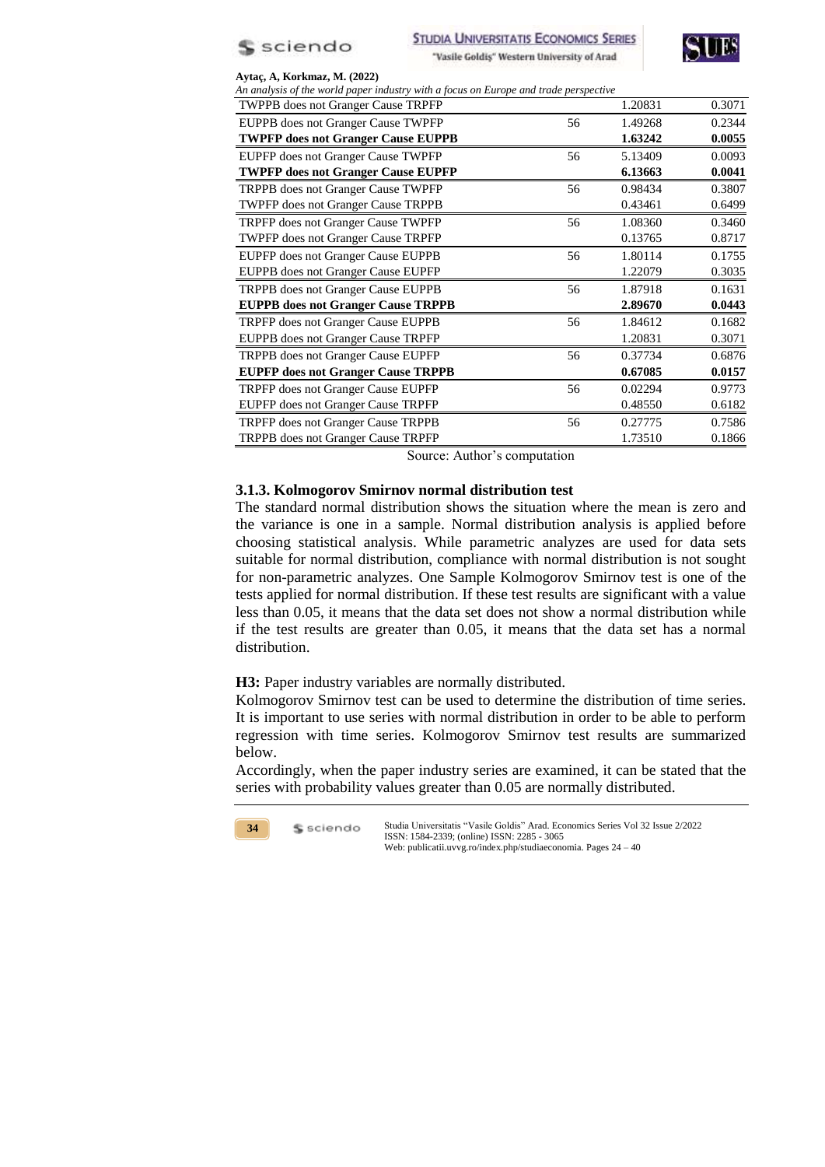



| An analysis of the world paper industry with a focus on Europe and trade perspective |    |         |        |
|--------------------------------------------------------------------------------------|----|---------|--------|
| <b>TWPPB</b> does not Granger Cause TRPFP                                            |    | 1.20831 | 0.3071 |
| EUPPB does not Granger Cause TWPFP                                                   | 56 | 1.49268 | 0.2344 |
| <b>TWPFP does not Granger Cause EUPPB</b>                                            |    | 1.63242 | 0.0055 |
| EUPFP does not Granger Cause TWPFP                                                   | 56 | 5.13409 | 0.0093 |
| <b>TWPFP does not Granger Cause EUPFP</b>                                            |    | 6.13663 | 0.0041 |
| TRPPB does not Granger Cause TWPFP                                                   | 56 | 0.98434 | 0.3807 |
| <b>TWPFP</b> does not Granger Cause TRPPB                                            |    | 0.43461 | 0.6499 |
| TRPFP does not Granger Cause TWPFP                                                   | 56 | 1.08360 | 0.3460 |
| <b>TWPFP</b> does not Granger Cause TRPFP                                            |    | 0.13765 | 0.8717 |
| EUPFP does not Granger Cause EUPPB                                                   | 56 | 1.80114 | 0.1755 |
| <b>EUPPB</b> does not Granger Cause EUPFP                                            |    | 1.22079 | 0.3035 |
| TRPPB does not Granger Cause EUPPB                                                   | 56 | 1.87918 | 0.1631 |
| <b>EUPPB</b> does not Granger Cause TRPPB                                            |    | 2.89670 | 0.0443 |
| TRPFP does not Granger Cause EUPPB                                                   | 56 | 1.84612 | 0.1682 |
| EUPPB does not Granger Cause TRPFP                                                   |    | 1.20831 | 0.3071 |
| <b>TRPPB</b> does not Granger Cause EUPFP                                            | 56 | 0.37734 | 0.6876 |
| <b>EUPFP</b> does not Granger Cause TRPPB                                            |    | 0.67085 | 0.0157 |
| <b>TRPFP</b> does not Granger Cause EUPFP                                            | 56 | 0.02294 | 0.9773 |
| EUPFP does not Granger Cause TRPFP                                                   |    | 0.48550 | 0.6182 |
| TRPFP does not Granger Cause TRPPB                                                   | 56 | 0.27775 | 0.7586 |
| TRPPB does not Granger Cause TRPFP                                                   |    | 1.73510 | 0.1866 |

Source: Author's computation

### **3.1.3. Kolmogorov Smirnov normal distribution test**

The standard normal distribution shows the situation where the mean is zero and the variance is one in a sample. Normal distribution analysis is applied before choosing statistical analysis. While parametric analyzes are used for data sets suitable for normal distribution, compliance with normal distribution is not sought for non-parametric analyzes. One Sample Kolmogorov Smirnov test is one of the tests applied for normal distribution. If these test results are significant with a value less than 0.05, it means that the data set does not show a normal distribution while if the test results are greater than 0.05, it means that the data set has a normal distribution.

### **H3:** Paper industry variables are normally distributed.

Kolmogorov Smirnov test can be used to determine the distribution of time series. It is important to use series with normal distribution in order to be able to perform regression with time series. Kolmogorov Smirnov test results are summarized below.

Accordingly, when the paper industry series are examined, it can be stated that the series with probability values greater than 0.05 are normally distributed.

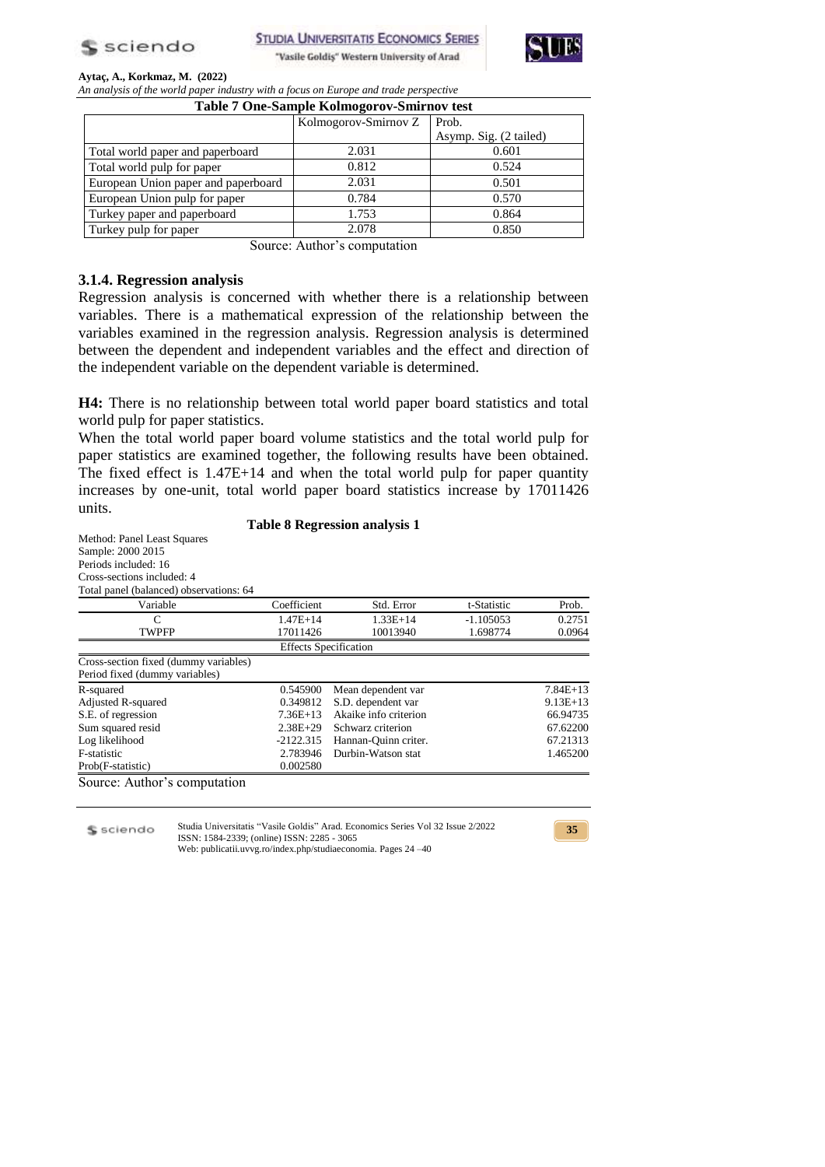

**STUDIA UNIVERSITATIS ECONOMICS SERIES** 





### **Aytaç, A., Korkmaz, M. (2022)**

*An analysis of the world paper industry with a focus on Europe and trade perspective*

|  |  | Table 7 One-Sample Kolmogorov-Smirnov test |  |
|--|--|--------------------------------------------|--|
|  |  |                                            |  |

| Table / One-Sample Konnogorov-Silin hovest |                      |                        |  |  |  |
|--------------------------------------------|----------------------|------------------------|--|--|--|
|                                            | Kolmogorov-Smirnov Z | Prob.                  |  |  |  |
|                                            |                      | Asymp. Sig. (2 tailed) |  |  |  |
| Total world paper and paperboard           | 2.031                | 0.601                  |  |  |  |
| Total world pulp for paper                 | 0.812                | 0.524                  |  |  |  |
| European Union paper and paperboard        | 2.031                | 0.501                  |  |  |  |
| European Union pulp for paper              | 0.784                | 0.570                  |  |  |  |
| Turkey paper and paperboard                | 1.753                | 0.864                  |  |  |  |
| Turkey pulp for paper                      | 2.078                | 0.850                  |  |  |  |

Source: Author's computation

### **3.1.4. Regression analysis**

Regression analysis is concerned with whether there is a relationship between variables. There is a mathematical expression of the relationship between the variables examined in the regression analysis. Regression analysis is determined between the dependent and independent variables and the effect and direction of the independent variable on the dependent variable is determined.

**H4:** There is no relationship between total world paper board statistics and total world pulp for paper statistics.

When the total world paper board volume statistics and the total world pulp for paper statistics are examined together, the following results have been obtained. The fixed effect is 1.47E+14 and when the total world pulp for paper quantity increases by one-unit, total world paper board statistics increase by 17011426 units.

### **Table 8 Regression analysis 1**

Method: Panel Least Squares Sample: 2000 2015 Periods included: 16 Cross-sections included: 4 Total panel (balanced) observations: 64 Variable Coefficient Std. Error t-Statistic Prob. C 1.47E+14  $1.33E+14$   $-1.105053$  0.2751 TWPFP 17011426 10013940 1.698774 0.0964 Effects Specification Cross-section fixed (dummy variables) Period fixed (dummy variables) R-squared 0.545900 Mean dependent var 7.84E+13 Adjusted R-squared **0.349812** S.D. dependent var 9.13E+13 S.E. of regression 7.36E+13 Akaike info criterion 66.94735 Sum squared resid 2.38E+29 Schwarz criterion 67.62200<br>
Log likelihood 1.2122.315 Hannan-Quinn criter. 67.21313 Hannan-Quinn criter. 67.21313 F-statistic 2.783946 Durbin-Watson stat 1.465200<br>Prob(F-statistic) 0.002580 Prob(F-statistic) Source: Author's computation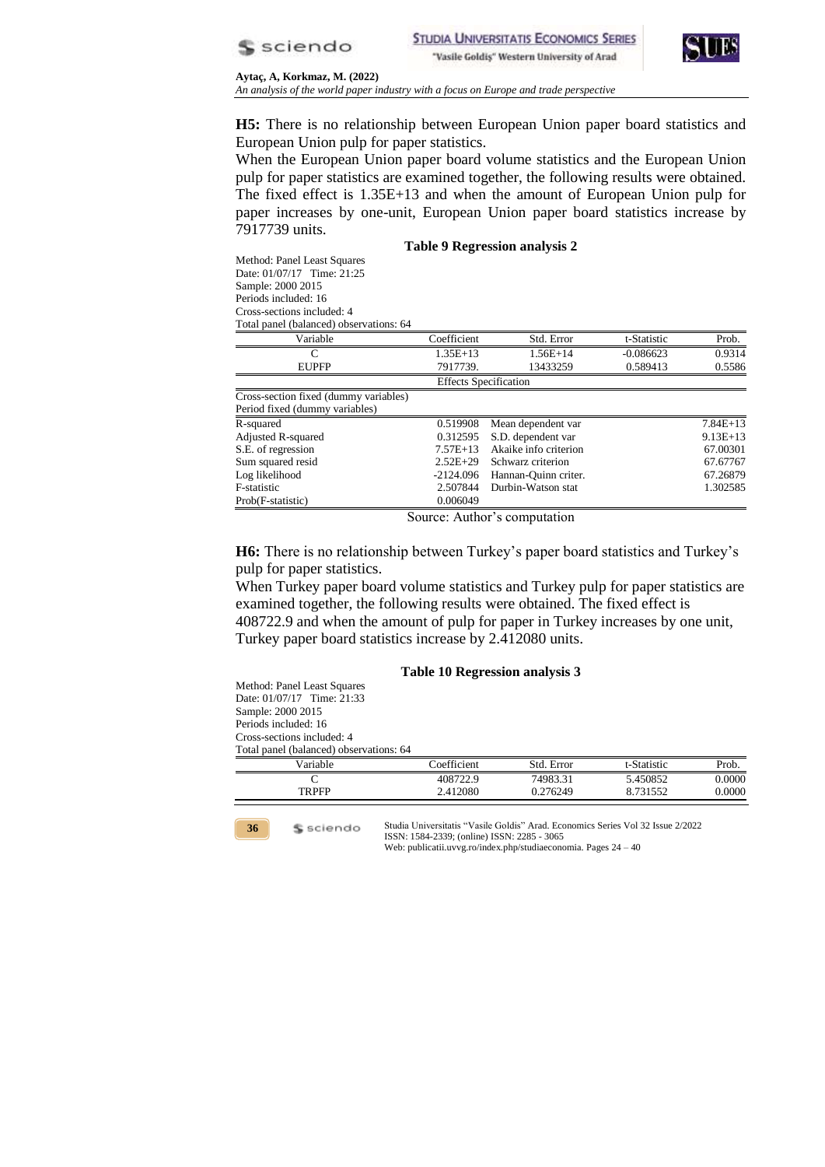



**Aytaç, A, Korkmaz, M. (2022)** *An analysis of the world paper industry with a focus on Europe and trade perspective*

**H5:** There is no relationship between European Union paper board statistics and European Union pulp for paper statistics.

When the European Union paper board volume statistics and the European Union pulp for paper statistics are examined together, the following results were obtained. The fixed effect is 1.35E+13 and when the amount of European Union pulp for paper increases by one-unit, European Union paper board statistics increase by 7917739 units.

#### **Table 9 Regression analysis 2**

Method: Panel Least Squares Date: 01/07/17 Time: 21:25 Sample: 2000 2015 Periods included: 16 Cross-sections included: 4 Total panel (balanced) observations: 64

Prob(F-statistic) 0.006049

| Variable                              | Coefficient  | Std. Error                   | t-Statistic | Prob.      |
|---------------------------------------|--------------|------------------------------|-------------|------------|
|                                       | $1.35E+13$   | $1.56E+14$                   | $-0.086623$ | 0.9314     |
| <b>EUPFP</b>                          | 7917739.     | 13433259                     | 0.589413    | 0.5586     |
|                                       |              | <b>Effects Specification</b> |             |            |
| Cross-section fixed (dummy variables) |              |                              |             |            |
| Period fixed (dummy variables)        |              |                              |             |            |
| R-squared                             | 0.519908     | Mean dependent var           |             | $7.84E+13$ |
| Adjusted R-squared                    | 0.312595     | S.D. dependent var           |             | $9.13E+13$ |
| S.E. of regression                    | $7.57E+13$   | Akaike info criterion        |             | 67.00301   |
| Sum squared resid                     | $2.52E + 29$ | Schwarz criterion            |             | 67.67767   |

Source: Author's computation

Log likelihood -2124.096 Hannan-Quinn criter. 67.26879 F-statistic 2.507844 Durbin-Watson stat 1.302585

**H6:** There is no relationship between Turkey's paper board statistics and Turkey's pulp for paper statistics.

When Turkey paper board volume statistics and Turkey pulp for paper statistics are examined together, the following results were obtained. The fixed effect is

408722.9 and when the amount of pulp for paper in Turkey increases by one unit, Turkey paper board statistics increase by 2.412080 units.

#### **Table 10 Regression analysis 3**

Method: Panel Least Squares Date: 01/07/17 Time: 21:33 Sample: 2000 2015 Periods included: 16 Cross-sections included: 4 Total panel (balanced) observations: 64

\$ sciendo

| Variable     | `oefficient | Std. Error | t-Statistic | Prob.  |
|--------------|-------------|------------|-------------|--------|
|              | 408722.9    | 74983.31   | 5.450852    | 0.0000 |
| <b>TRPFP</b> | 2.412080    | 0.276249   | 8731552     | .0000  |
|              |             |            |             |        |

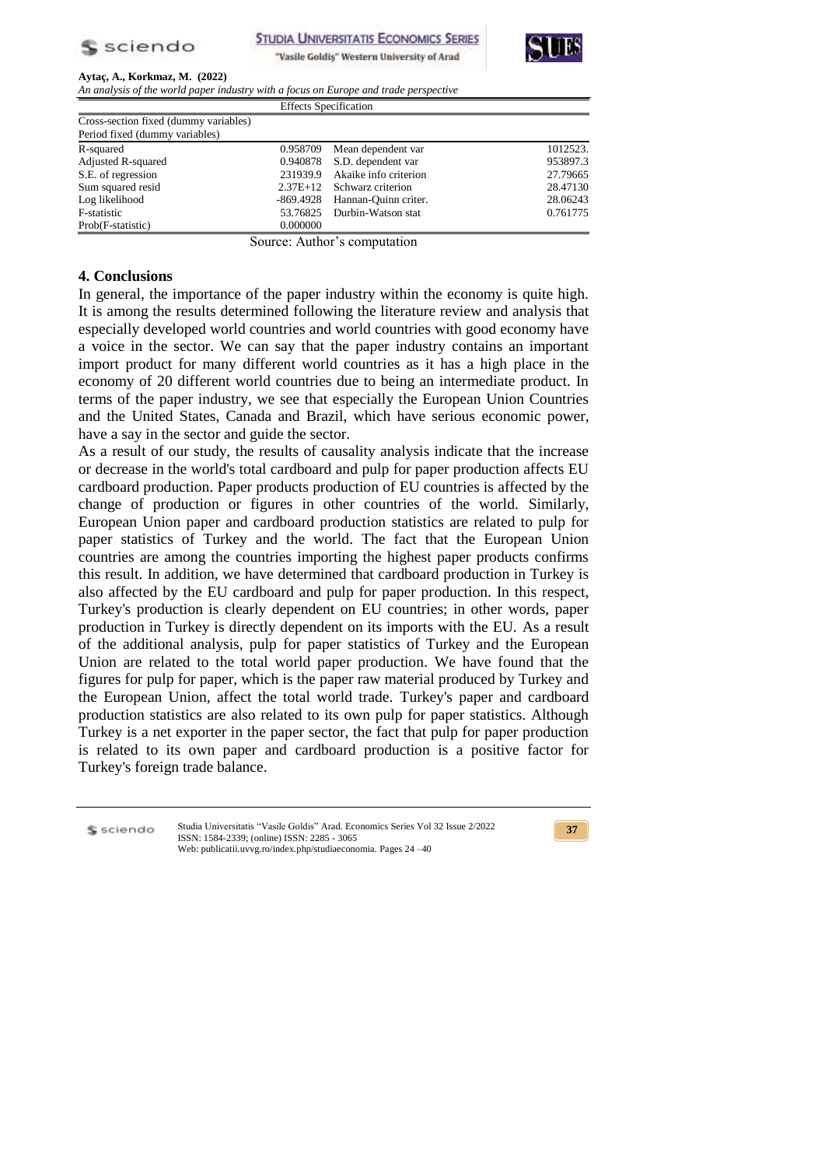



*An analysis of the world paper industry with a focus on Europe and trade perspective*

|                                       | <b>Effects Specification</b> |                             |          |
|---------------------------------------|------------------------------|-----------------------------|----------|
| Cross-section fixed (dummy variables) |                              |                             |          |
| Period fixed (dummy variables)        |                              |                             |          |
| R-squared                             | 0.958709                     | Mean dependent var          | 1012523. |
| Adjusted R-squared                    |                              | 0.940878 S.D. dependent var | 953897.3 |
| S.E. of regression                    | 231939.9                     | Akaike info criterion       | 27.79665 |
| Sum squared resid                     |                              | 2.37E+12 Schwarz criterion  | 28.47130 |
| Log likelihood                        | -869.4928                    | Hannan-Ouinn criter.        | 28.06243 |
| F-statistic                           |                              | 53.76825 Durbin-Watson stat | 0.761775 |
| Prob(F-statistic)                     | 0.000000                     |                             |          |

Source: Author's computation

### **4. Conclusions**

In general, the importance of the paper industry within the economy is quite high. It is among the results determined following the literature review and analysis that especially developed world countries and world countries with good economy have a voice in the sector. We can say that the paper industry contains an important import product for many different world countries as it has a high place in the economy of 20 different world countries due to being an intermediate product. In terms of the paper industry, we see that especially the European Union Countries and the United States, Canada and Brazil, which have serious economic power, have a say in the sector and guide the sector.

As a result of our study, the results of causality analysis indicate that the increase or decrease in the world's total cardboard and pulp for paper production affects EU cardboard production. Paper products production of EU countries is affected by the change of production or figures in other countries of the world. Similarly, European Union paper and cardboard production statistics are related to pulp for paper statistics of Turkey and the world. The fact that the European Union countries are among the countries importing the highest paper products confirms this result. In addition, we have determined that cardboard production in Turkey is also affected by the EU cardboard and pulp for paper production. In this respect, Turkey's production is clearly dependent on EU countries; in other words, paper production in Turkey is directly dependent on its imports with the EU. As a result of the additional analysis, pulp for paper statistics of Turkey and the European Union are related to the total world paper production. We have found that the figures for pulp for paper, which is the paper raw material produced by Turkey and the European Union, affect the total world trade. Turkey's paper and cardboard production statistics are also related to its own pulp for paper statistics. Although Turkey is a net exporter in the paper sector, the fact that pulp for paper production is related to its own paper and cardboard production is a positive factor for Turkey's foreign trade balance.

S sciendo

Studia Universitatis "Vasile Goldis" Arad. Economics Series Vol 32 Issue 2/2022 ISSN: 1584-2339; (online) ISSN: 2285 - 3065 Web: publicatii.uvvg.ro/index.php/studiaeconomia. Pages 24 –40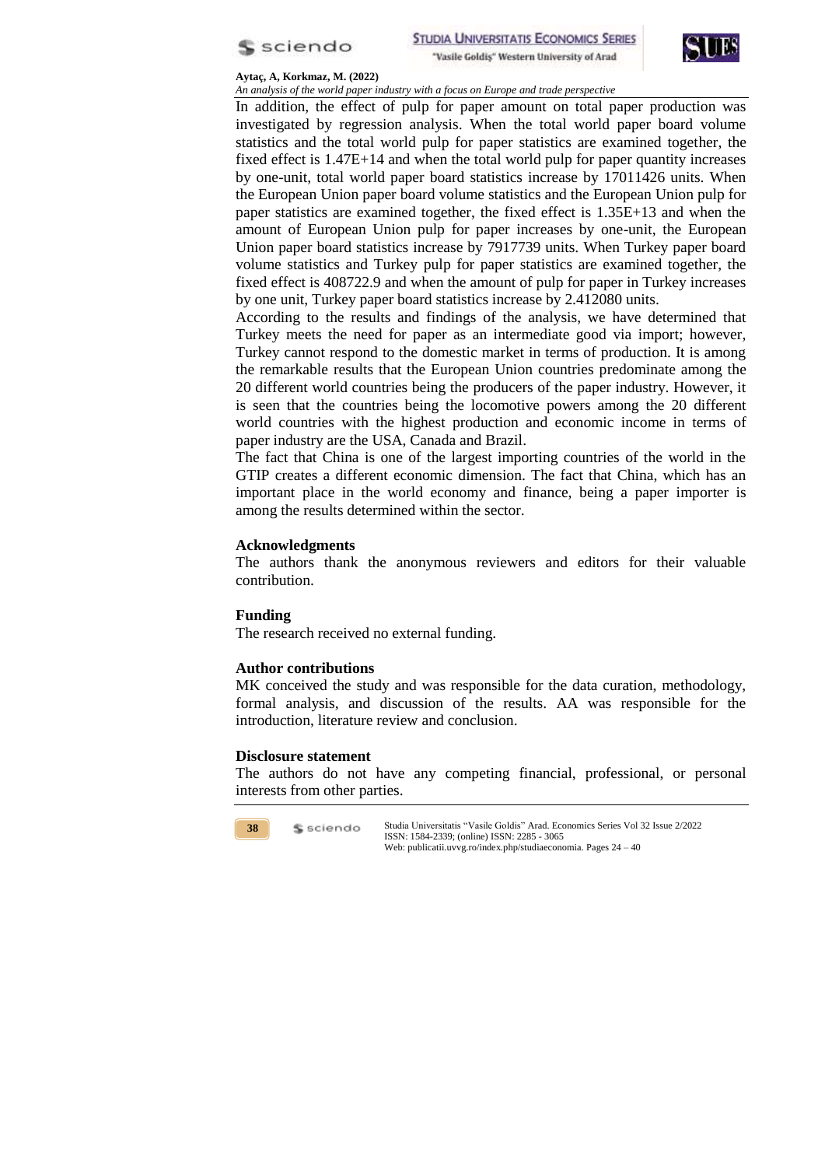



*An analysis of the world paper industry with a focus on Europe and trade perspective*

In addition, the effect of pulp for paper amount on total paper production was investigated by regression analysis. When the total world paper board volume statistics and the total world pulp for paper statistics are examined together, the fixed effect is 1.47E+14 and when the total world pulp for paper quantity increases by one-unit, total world paper board statistics increase by 17011426 units. When the European Union paper board volume statistics and the European Union pulp for paper statistics are examined together, the fixed effect is 1.35E+13 and when the amount of European Union pulp for paper increases by one-unit, the European Union paper board statistics increase by 7917739 units. When Turkey paper board volume statistics and Turkey pulp for paper statistics are examined together, the fixed effect is 408722.9 and when the amount of pulp for paper in Turkey increases by one unit, Turkey paper board statistics increase by 2.412080 units.

According to the results and findings of the analysis, we have determined that Turkey meets the need for paper as an intermediate good via import; however, Turkey cannot respond to the domestic market in terms of production. It is among the remarkable results that the European Union countries predominate among the 20 different world countries being the producers of the paper industry. However, it is seen that the countries being the locomotive powers among the 20 different world countries with the highest production and economic income in terms of paper industry are the USA, Canada and Brazil.

The fact that China is one of the largest importing countries of the world in the GTIP creates a different economic dimension. The fact that China, which has an important place in the world economy and finance, being a paper importer is among the results determined within the sector.

## **Acknowledgments**

The authors thank the anonymous reviewers and editors for their valuable contribution.

### **Funding**

The research received no external funding.

### **Author contributions**

MK conceived the study and was responsible for the data curation, methodology, formal analysis, and discussion of the results. AA was responsible for the introduction, literature review and conclusion.

### **Disclosure statement**

The authors do not have any competing financial, professional, or personal interests from other parties.

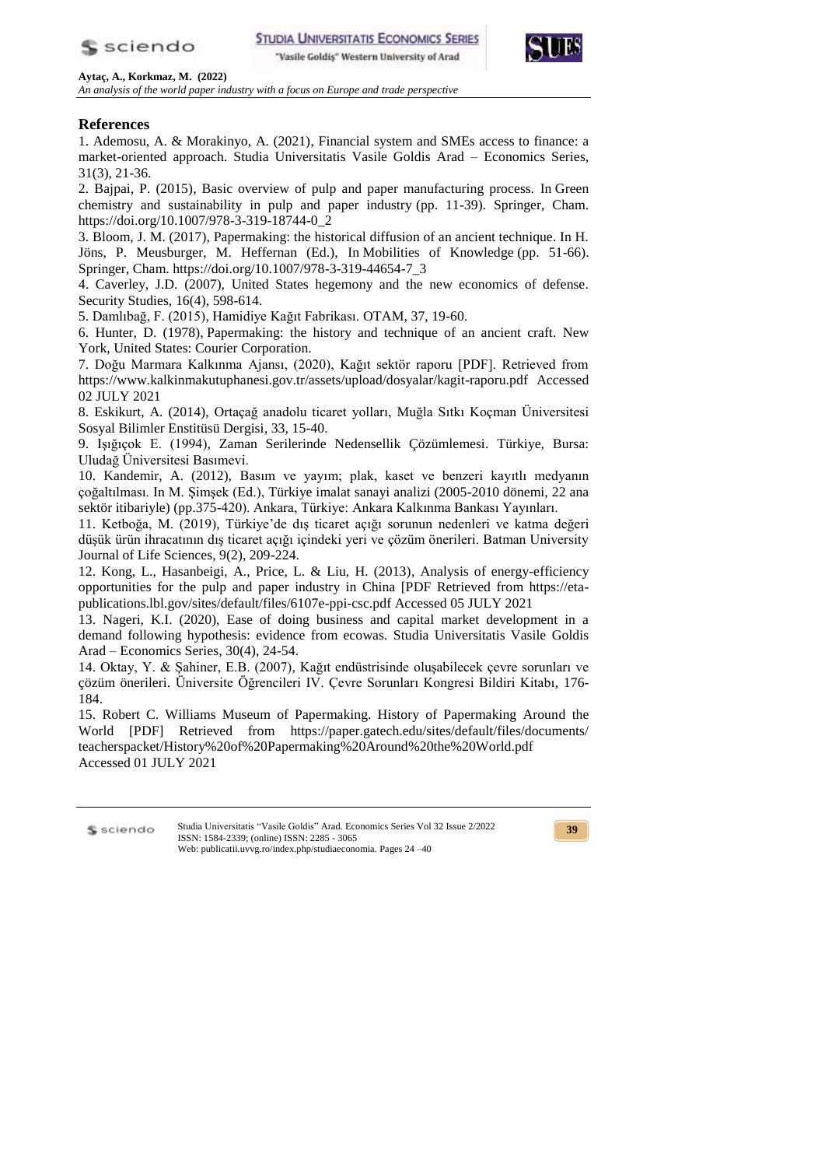



*An analysis of the world paper industry with a focus on Europe and trade perspective*

## **References**

1. Ademosu, A. & Morakinyo, A. (2021), Financial system and SMEs access to finance: a market-oriented approach. Studia Universitatis Vasile Goldis Arad – Economics Series, 31(3), 21-36.

2. Bajpai, P. (2015), Basic overview of pulp and paper manufacturing process. In Green chemistry and sustainability in pulp and paper industry (pp. 11-39). Springer, Cham. https://doi.org/10.1007/978-3-319-18744-0\_2

3. Bloom, J. M. (2017), Papermaking: the historical diffusion of an ancient technique. In H. Jöns, P. Meusburger, M. Heffernan (Ed.), In Mobilities of Knowledge (pp. 51-66). Springer, Cham. https://doi.org/10.1007/978-3-319-44654-7\_3

4. Caverley, J.D. (2007), United States hegemony and the new economics of defense. Security Studies, 16(4), 598-614.

5. Damlıbağ, F. (2015), Hamidiye Kağıt Fabrikası. OTAM, 37, 19-60.

6. Hunter, D. (1978), Papermaking: the history and technique of an ancient craft. New York, United States: Courier Corporation.

7. Doğu Marmara Kalkınma Ajansı, (2020), Kağıt sektör raporu [PDF]. Retrieved from https://www.kalkinmakutuphanesi.gov.tr/assets/upload/dosyalar/kagit-raporu.pdf Accessed 02 JULY 2021

8. Eskikurt, A. (2014), Ortaçağ anadolu ticaret yolları, Muğla Sıtkı Koçman Üniversitesi Sosyal Bilimler Enstitüsü Dergisi, 33, 15-40.

9. Işığıçok E. (1994), Zaman Serilerinde Nedensellik Çözümlemesi. Türkiye, Bursa: Uludağ Üniversitesi Basımevi.

10. Kandemir, A. (2012), Basım ve yayım; plak, kaset ve benzeri kayıtlı medyanın çoğaltılması. In M. Şimşek (Ed.), Türkiye imalat sanayi analizi (2005-2010 dönemi, 22 ana sektör itibariyle) (pp.375-420). Ankara, Türkiye: Ankara Kalkınma Bankası Yayınları.

11. Ketboğa, M. (2019), Türkiye'de dış ticaret açığı sorunun nedenleri ve katma değeri düşük ürün ihracatının dış ticaret açığı içindeki yeri ve çözüm önerileri. Batman University Journal of Life Sciences, 9(2), 209-224.

12. Kong, L., Hasanbeigi, A., Price, L. & Liu, H. (2013), Analysis of energy-efficiency opportunities for the pulp and paper industry in China [PDF Retrieved from https://etapublications.lbl.gov/sites/default/files/6107e-ppi-csc.pdf Accessed 05 JULY 2021

13. Nageri, K.I. (2020), Ease of doing business and capital market development in a demand following hypothesis: evidence from ecowas. Studia Universitatis Vasile Goldis Arad – Economics Series, 30(4), 24-54.

14. Oktay, Y. & Şahiner, E.B. (2007), Kağıt endüstrisinde oluşabilecek çevre sorunları ve çözüm önerileri. Üniversite Öğrencileri IV. Çevre Sorunları Kongresi Bildiri Kitabı, 176- 184.

15. Robert C. Williams Museum of Papermaking. History of Papermaking Around the World [PDF] Retrieved from https://paper.gatech.edu/sites/default/files/documents/ teacherspacket/History%20of%20Papermaking%20Around%20the%20World.pdf Accessed 01 JULY 2021

S sciendo

Studia Universitatis "Vasile Goldis" Arad. Economics Series Vol 32 Issue 2/2022 ISSN: 1584-2339; (online) ISSN: 2285 - 3065 Web: publicatii.uvvg.ro/index.php/studiaeconomia. Pages 24 –40